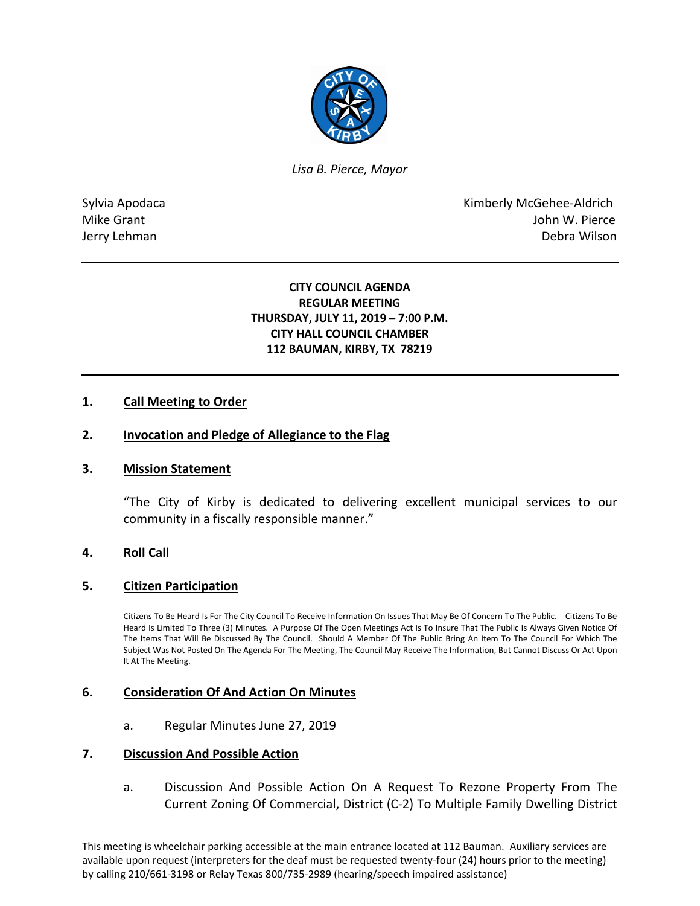

*Lisa B. Pierce, Mayor* 

Sylvia Apodaca **Kimberly McGehee-Aldrich** Mike Grant **Mike Grant** John W. Pierce Jerry Lehman Debra Wilson

## **CITY COUNCIL AGENDA REGULAR MEETING THURSDAY, JULY 11, 2019 – 7:00 P.M. CITY HALL COUNCIL CHAMBER 112 BAUMAN, KIRBY, TX 78219**

# **1. Call Meeting to Order**

### **2. Invocation and Pledge of Allegiance to the Flag**

### **3. Mission Statement**

"The City of Kirby is dedicated to delivering excellent municipal services to our community in a fiscally responsible manner."

### **4. Roll Call**

### **5. Citizen Participation**

Citizens To Be Heard Is For The City Council To Receive Information On Issues That May Be Of Concern To The Public. Citizens To Be Heard Is Limited To Three (3) Minutes. A Purpose Of The Open Meetings Act Is To Insure That The Public Is Always Given Notice Of The Items That Will Be Discussed By The Council. Should A Member Of The Public Bring An Item To The Council For Which The Subject Was Not Posted On The Agenda For The Meeting, The Council May Receive The Information, But Cannot Discuss Or Act Upon It At The Meeting.

### **6. Consideration Of And Action On Minutes**

a. Regular Minutes June 27, 2019

### **7. Discussion And Possible Action**

a. Discussion And Possible Action On A Request To Rezone Property From The Current Zoning Of Commercial, District (C-2) To Multiple Family Dwelling District

This meeting is wheelchair parking accessible at the main entrance located at 112 Bauman. Auxiliary services are available upon request (interpreters for the deaf must be requested twenty-four (24) hours prior to the meeting) by calling 210/661-3198 or Relay Texas 800/735-2989 (hearing/speech impaired assistance)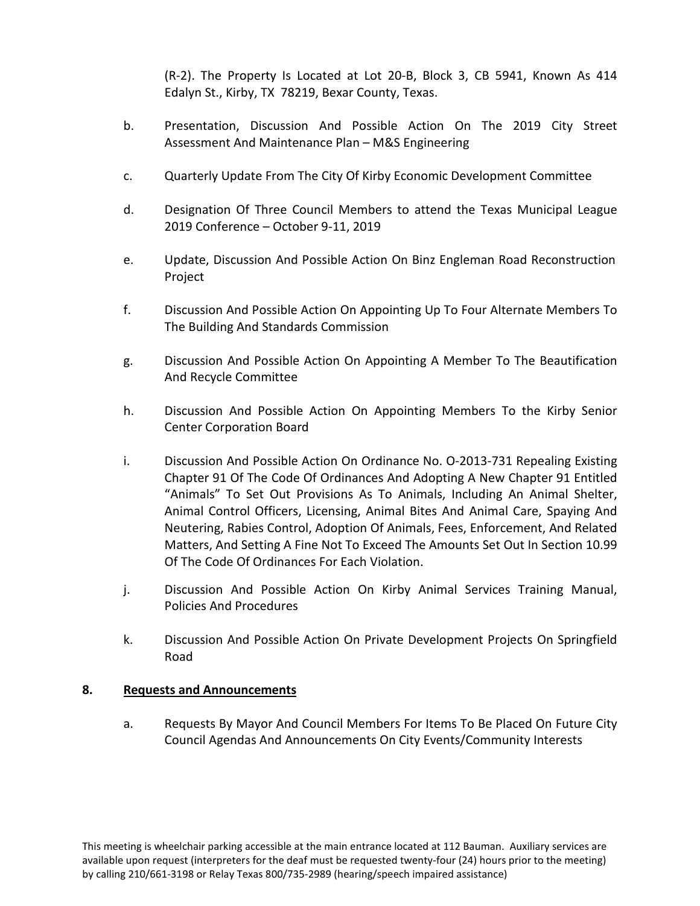(R-2). The Property Is Located at Lot 20-B, Block 3, CB 5941, Known As 414 Edalyn St., Kirby, TX 78219, Bexar County, Texas.

- b. Presentation, Discussion And Possible Action On The 2019 City Street Assessment And Maintenance Plan – M&S Engineering
- c. Quarterly Update From The City Of Kirby Economic Development Committee
- d. Designation Of Three Council Members to attend the Texas Municipal League 2019 Conference – October 9-11, 2019
- e. Update, Discussion And Possible Action On Binz Engleman Road Reconstruction Project
- f. Discussion And Possible Action On Appointing Up To Four Alternate Members To The Building And Standards Commission
- g. Discussion And Possible Action On Appointing A Member To The Beautification And Recycle Committee
- h. Discussion And Possible Action On Appointing Members To the Kirby Senior Center Corporation Board
- i. Discussion And Possible Action On Ordinance No. O-2013-731 Repealing Existing Chapter 91 Of The Code Of Ordinances And Adopting A New Chapter 91 Entitled "Animals" To Set Out Provisions As To Animals, Including An Animal Shelter, Animal Control Officers, Licensing, Animal Bites And Animal Care, Spaying And Neutering, Rabies Control, Adoption Of Animals, Fees, Enforcement, And Related Matters, And Setting A Fine Not To Exceed The Amounts Set Out In Section 10.99 Of The Code Of Ordinances For Each Violation.
- j. Discussion And Possible Action On Kirby Animal Services Training Manual, Policies And Procedures
- k. Discussion And Possible Action On Private Development Projects On Springfield Road

# **8. Requests and Announcements**

a. Requests By Mayor And Council Members For Items To Be Placed On Future City Council Agendas And Announcements On City Events/Community Interests